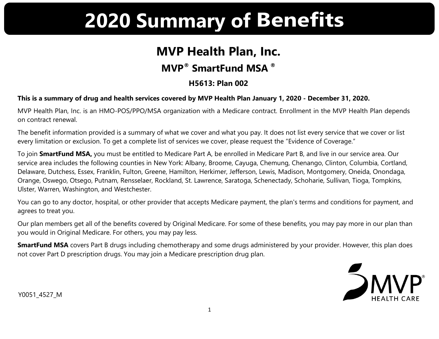# **2020 Summary of Benefits**

## **MVP Health Plan, Inc.**

## **MVP® SmartFund MSA ®**

### **H5613: Plan 002**

#### **This is a summary of drug and health services covered by MVP Health Plan January 1, 2020 - December 31, 2020.**

MVP Health Plan, Inc. is an HMO-POS/PPO/MSA organization with a Medicare contract. Enrollment in the MVP Health Plan depends on contract renewal.

The benefit information provided is a summary of what we cover and what you pay. It does not list every service that we cover or list every limitation or exclusion. To get a complete list of services we cover, please request the "Evidence of Coverage."

To join **SmartFund MSA,** you must be entitled to Medicare Part A, be enrolled in Medicare Part B, and live in our service area. Our service area includes the following counties in New York: Albany, Broome, Cayuga, Chemung, Chenango, Clinton, Columbia, Cortland, Delaware, Dutchess, Essex, Franklin, Fulton, Greene, Hamilton, Herkimer, Jefferson, Lewis, Madison, Montgomery, Oneida, Onondaga, Orange, Oswego, Otsego, Putnam, Rensselaer, Rockland, St. Lawrence, Saratoga, Schenectady, Schoharie, Sullivan, Tioga, Tompkins, Ulster, Warren, Washington, and Westchester.

You can go to any doctor, hospital, or other provider that accepts Medicare payment, the plan's terms and conditions for payment, and agrees to treat you.

Our plan members get all of the benefits covered by Original Medicare. For some of these benefits, you may pay more in our plan than you would in Original Medicare. For others, you may pay less.

**SmartFund MSA** covers Part B drugs including chemotherapy and some drugs administered by your provider. However, this plan does not cover Part D prescription drugs. You may join a Medicare prescription drug plan.



Y0051\_4527\_M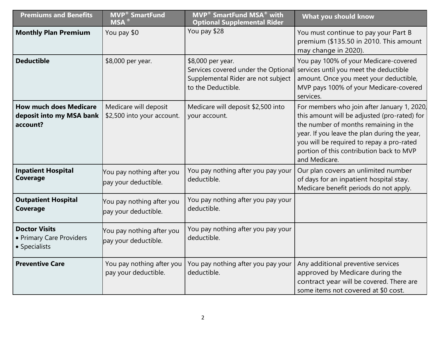| <b>Premiums and Benefits</b>                                          | <b>MVP<sup>®</sup> SmartFund</b><br>$MSA^{\alpha}$  | <b>MVP<sup>®</sup> SmartFund MSA<sup>®</sup> with</b><br><b>Optional Supplemental Rider</b>                          | What you should know                                                                                                                                                                                                                                                                           |
|-----------------------------------------------------------------------|-----------------------------------------------------|----------------------------------------------------------------------------------------------------------------------|------------------------------------------------------------------------------------------------------------------------------------------------------------------------------------------------------------------------------------------------------------------------------------------------|
| <b>Monthly Plan Premium</b>                                           | You pay \$0                                         | You pay \$28                                                                                                         | You must continue to pay your Part B<br>premium (\$135.50 in 2010. This amount<br>may change in 2020).                                                                                                                                                                                         |
| <b>Deductible</b>                                                     | \$8,000 per year.                                   | \$8,000 per year.<br>Services covered under the Optional<br>Supplemental Rider are not subject<br>to the Deductible. | You pay 100% of your Medicare-covered<br>services until you meet the deductible<br>amount. Once you meet your deductible,<br>MVP pays 100% of your Medicare-covered<br>services.                                                                                                               |
| <b>How much does Medicare</b><br>deposit into my MSA bank<br>account? | Medicare will deposit<br>\$2,500 into your account. | Medicare will deposit \$2,500 into<br>your account.                                                                  | For members who join after January 1, 2020,<br>this amount will be adjusted (pro-rated) for<br>the number of months remaining in the<br>year. If you leave the plan during the year,<br>you will be required to repay a pro-rated<br>portion of this contribution back to MVP<br>and Medicare. |
| <b>Inpatient Hospital</b><br>Coverage                                 | You pay nothing after you<br>pay your deductible.   | You pay nothing after you pay your<br>deductible.                                                                    | Our plan covers an unlimited number<br>of days for an inpatient hospital stay.<br>Medicare benefit periods do not apply.                                                                                                                                                                       |
| <b>Outpatient Hospital</b><br>Coverage                                | You pay nothing after you<br>pay your deductible.   | You pay nothing after you pay your<br>deductible.                                                                    |                                                                                                                                                                                                                                                                                                |
| <b>Doctor Visits</b><br>• Primary Care Providers<br>• Specialists     | You pay nothing after you<br>pay your deductible.   | You pay nothing after you pay your<br>deductible.                                                                    |                                                                                                                                                                                                                                                                                                |
| <b>Preventive Care</b>                                                | You pay nothing after you<br>pay your deductible.   | You pay nothing after you pay your<br>deductible.                                                                    | Any additional preventive services<br>approved by Medicare during the<br>contract year will be covered. There are<br>some items not covered at \$0 cost.                                                                                                                                       |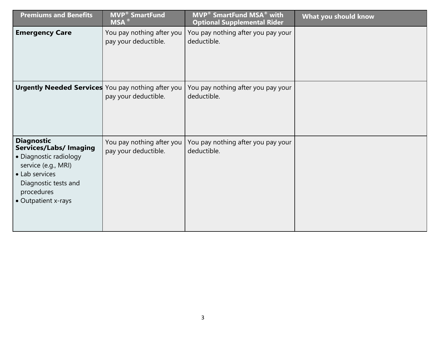| <b>Premiums and Benefits</b>                                                                                                                                                       | <b>MVP<sup>®</sup> SmartFund</b><br>$MSA^{\circledR}$ | <b>MVP<sup>®</sup> SmartFund MSA<sup>®</sup> with</b><br><b>Optional Supplemental Rider</b> | What you should know |
|------------------------------------------------------------------------------------------------------------------------------------------------------------------------------------|-------------------------------------------------------|---------------------------------------------------------------------------------------------|----------------------|
| <b>Emergency Care</b>                                                                                                                                                              | You pay nothing after you<br>pay your deductible.     | You pay nothing after you pay your<br>deductible.                                           |                      |
| Urgently Needed Services You pay nothing after you                                                                                                                                 | pay your deductible.                                  | You pay nothing after you pay your<br>deductible.                                           |                      |
| <b>Diagnostic</b><br><b>Services/Labs/ Imaging</b><br>• Diagnostic radiology<br>service (e.g., MRI)<br>• Lab services<br>Diagnostic tests and<br>procedures<br>• Outpatient x-rays | You pay nothing after you<br>pay your deductible.     | You pay nothing after you pay your<br>deductible.                                           |                      |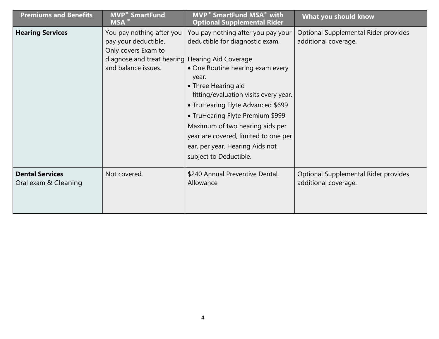| <b>Premiums and Benefits</b>                   | <b>MVP<sup>®</sup> SmartFund</b><br>$MSA^{\omega}$                                                                                                 | <b>MVP<sup>®</sup> SmartFund MSA<sup>®</sup> with</b><br><b>Optional Supplemental Rider</b>                                                                                                                                                                                                                                                                                                         | What you should know                                         |
|------------------------------------------------|----------------------------------------------------------------------------------------------------------------------------------------------------|-----------------------------------------------------------------------------------------------------------------------------------------------------------------------------------------------------------------------------------------------------------------------------------------------------------------------------------------------------------------------------------------------------|--------------------------------------------------------------|
| <b>Hearing Services</b>                        | You pay nothing after you<br>pay your deductible.<br>Only covers Exam to<br>diagnose and treat hearing Hearing Aid Coverage<br>and balance issues. | You pay nothing after you pay your<br>deductible for diagnostic exam.<br>• One Routine hearing exam every<br>year.<br>• Three Hearing aid<br>fitting/evaluation visits every year.<br>• TruHearing Flyte Advanced \$699<br>• TruHearing Flyte Premium \$999<br>Maximum of two hearing aids per<br>year are covered, limited to one per<br>ear, per year. Hearing Aids not<br>subject to Deductible. | Optional Supplemental Rider provides<br>additional coverage. |
| <b>Dental Services</b><br>Oral exam & Cleaning | Not covered.                                                                                                                                       | \$240 Annual Preventive Dental<br>Allowance                                                                                                                                                                                                                                                                                                                                                         | Optional Supplemental Rider provides<br>additional coverage. |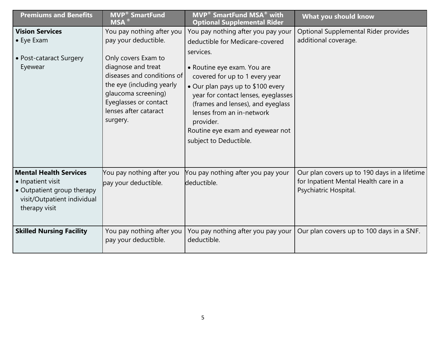| <b>Premiums and Benefits</b>                                                                                                     | <b>MVP<sup>®</sup></b> SmartFund<br><b>MSA</b>                                                                                                                                            | <b>MVP<sup>®</sup> SmartFund MSA<sup>®</sup> with</b><br><b>Optional Supplemental Rider</b>                                                                                                                                                                                                         | What you should know                                                                                           |
|----------------------------------------------------------------------------------------------------------------------------------|-------------------------------------------------------------------------------------------------------------------------------------------------------------------------------------------|-----------------------------------------------------------------------------------------------------------------------------------------------------------------------------------------------------------------------------------------------------------------------------------------------------|----------------------------------------------------------------------------------------------------------------|
| <b>Vision Services</b>                                                                                                           | You pay nothing after you                                                                                                                                                                 | You pay nothing after you pay your                                                                                                                                                                                                                                                                  | Optional Supplemental Rider provides                                                                           |
| $\bullet$ Eye Exam                                                                                                               | pay your deductible.                                                                                                                                                                      | deductible for Medicare-covered                                                                                                                                                                                                                                                                     | additional coverage.                                                                                           |
| • Post-cataract Surgery<br>Eyewear                                                                                               | Only covers Exam to<br>diagnose and treat<br>diseases and conditions of<br>the eye (including yearly<br>glaucoma screening)<br>Eyeglasses or contact<br>lenses after cataract<br>surgery. | services.<br>• Routine eye exam. You are<br>covered for up to 1 every year<br>• Our plan pays up to \$100 every<br>year for contact lenses, eyeglasses<br>(frames and lenses), and eyeglass<br>lenses from an in-network<br>provider.<br>Routine eye exam and eyewear not<br>subject to Deductible. |                                                                                                                |
| <b>Mental Health Services</b><br>• Inpatient visit<br>• Outpatient group therapy<br>visit/Outpatient individual<br>therapy visit | You pay nothing after you<br>pay your deductible.                                                                                                                                         | You pay nothing after you pay your<br>deductible.                                                                                                                                                                                                                                                   | Our plan covers up to 190 days in a lifetime<br>for Inpatient Mental Health care in a<br>Psychiatric Hospital. |
| <b>Skilled Nursing Facility</b>                                                                                                  | You pay nothing after you<br>pay your deductible.                                                                                                                                         | You pay nothing after you pay your<br>deductible.                                                                                                                                                                                                                                                   | Our plan covers up to 100 days in a SNF.                                                                       |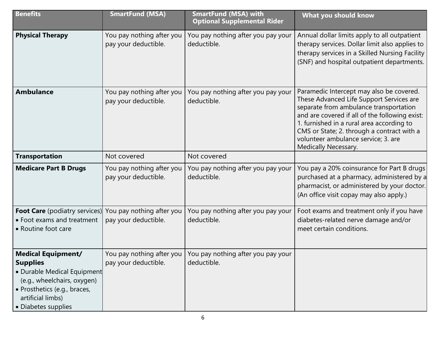| <b>Benefits</b>                                                                                                                                                                        | <b>SmartFund (MSA)</b>                            | <b>SmartFund (MSA) with</b><br><b>Optional Supplemental Rider</b> | What you should know                                                                                                                                                                                                                                                                                                                       |
|----------------------------------------------------------------------------------------------------------------------------------------------------------------------------------------|---------------------------------------------------|-------------------------------------------------------------------|--------------------------------------------------------------------------------------------------------------------------------------------------------------------------------------------------------------------------------------------------------------------------------------------------------------------------------------------|
| <b>Physical Therapy</b>                                                                                                                                                                | You pay nothing after you<br>pay your deductible. | You pay nothing after you pay your<br>deductible.                 | Annual dollar limits apply to all outpatient<br>therapy services. Dollar limit also applies to<br>therapy services in a Skilled Nursing Facility<br>(SNF) and hospital outpatient departments.                                                                                                                                             |
| <b>Ambulance</b>                                                                                                                                                                       | You pay nothing after you<br>pay your deductible. | You pay nothing after you pay your<br>deductible.                 | Paramedic Intercept may also be covered.<br>These Advanced Life Support Services are<br>separate from ambulance transportation<br>and are covered if all of the following exist:<br>1. furnished in a rural area according to<br>CMS or State; 2. through a contract with a<br>volunteer ambulance service; 3. are<br>Medically Necessary. |
| <b>Transportation</b>                                                                                                                                                                  | Not covered                                       | Not covered                                                       |                                                                                                                                                                                                                                                                                                                                            |
| <b>Medicare Part B Drugs</b>                                                                                                                                                           | You pay nothing after you<br>pay your deductible. | You pay nothing after you pay your<br>deductible.                 | You pay a 20% coinsurance for Part B drugs<br>purchased at a pharmacy, administered by a<br>pharmacist, or administered by your doctor.<br>(An office visit copay may also apply.)                                                                                                                                                         |
| <b>Foot Care</b> (podiatry services)<br>• Foot exams and treatment<br>• Routine foot care                                                                                              | You pay nothing after you<br>pay your deductible. | You pay nothing after you pay your<br>deductible.                 | Foot exams and treatment only if you have<br>diabetes-related nerve damage and/or<br>meet certain conditions.                                                                                                                                                                                                                              |
| <b>Medical Equipment/</b><br><b>Supplies</b><br>· Durable Medical Equipment<br>(e.g., wheelchairs, oxygen)<br>· Prosthetics (e.g., braces,<br>artificial limbs)<br>• Diabetes supplies | You pay nothing after you<br>pay your deductible. | You pay nothing after you pay your<br>deductible.                 |                                                                                                                                                                                                                                                                                                                                            |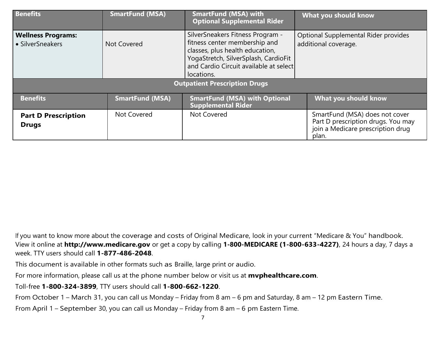| <b>Benefits</b>                               | <b>SmartFund (MSA)</b> | <b>SmartFund (MSA) with</b><br><b>Optional Supplemental Rider</b>                                                                                                                                    | What you should know                                                                                               |  |
|-----------------------------------------------|------------------------|------------------------------------------------------------------------------------------------------------------------------------------------------------------------------------------------------|--------------------------------------------------------------------------------------------------------------------|--|
| <b>Wellness Programs:</b><br>• SilverSneakers | Not Covered            | SilverSneakers Fitness Program -<br>fitness center membership and<br>classes, plus health education,<br>YogaStretch, SilverSplash, CardioFit<br>and Cardio Circuit available at select<br>locations. | Optional Supplemental Rider provides<br>additional coverage.                                                       |  |
| <b>Outpatient Prescription Drugs</b>          |                        |                                                                                                                                                                                                      |                                                                                                                    |  |
| <b>Benefits</b>                               | <b>SmartFund (MSA)</b> | <b>SmartFund (MSA) with Optional</b><br>Supplemental Rider                                                                                                                                           | What you should know                                                                                               |  |
| <b>Part D Prescription</b><br><b>Drugs</b>    | Not Covered            | Not Covered                                                                                                                                                                                          | SmartFund (MSA) does not cover<br>Part D prescription drugs. You may<br>join a Medicare prescription drug<br>plan. |  |

If you want to know more about the coverage and costs of Original Medicare, look in your current "Medicare & You" handbook. View it online at **http://www.medicare.gov** or get a copy by calling **1-800-MEDICARE (1-800-633-4227)**, 24 hours a day, 7 days a week. TTY users should call **1-877-486-2048**.

This document is available in other formats such as Braille, large print or audio.

For more information, please call us at the phone number below or visit us at **mvphealthcare.com**.

Toll-free **1-800-324-3899**, TTY users should call **1-800-662-1220**.

From October 1 – March 31, you can call us Monday – Friday from 8 am – 6 pm and Saturday, 8 am – 12 pm Eastern Time.

From April 1 – September 30, you can call us Monday – Friday from 8 am – 6 pm Eastern Time.